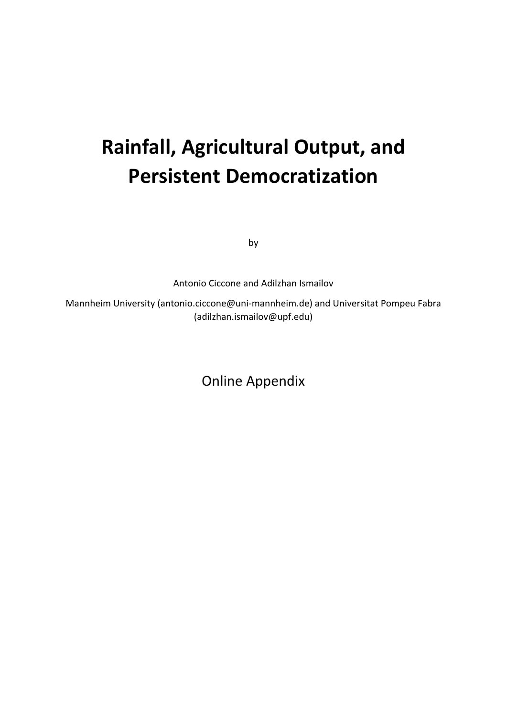# **Rainfall, Agricultural Output, and Persistent Democratization**

by

Antonio Ciccone and Adilzhan Ismailov

Mannheim University (antonio.ciccone@uni‐mannheim.de) and Universitat Pompeu Fabra (adilzhan.ismailov@upf.edu)

Online Appendix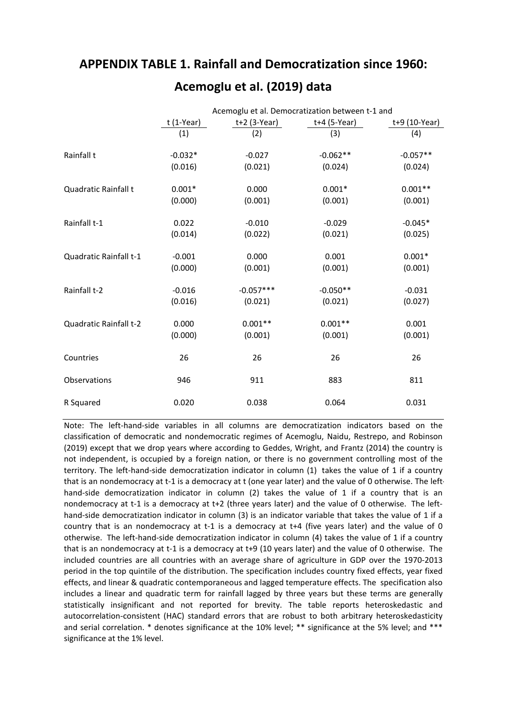# **APPENDIX TABLE 1. Rainfall and Democratization since 1960:**

|                        |             |                | Acemoglu et al. Democratization between t-1 and |                 |
|------------------------|-------------|----------------|-------------------------------------------------|-----------------|
|                        | $t(1-Year)$ | $t+2$ (3-Year) | t+4 (5-Year)                                    | $t+9$ (10-Year) |
|                        | (1)         | (2)            | (3)                                             | (4)             |
| Rainfall t             | $-0.032*$   | $-0.027$       | $-0.062**$                                      | $-0.057**$      |
|                        | (0.016)     | (0.021)        | (0.024)                                         | (0.024)         |
| Quadratic Rainfall t   | $0.001*$    | 0.000          | $0.001*$                                        | $0.001**$       |
|                        | (0.000)     | (0.001)        | (0.001)                                         | (0.001)         |
| Rainfall t-1           | 0.022       | $-0.010$       | $-0.029$                                        | $-0.045*$       |
|                        | (0.014)     | (0.022)        | (0.021)                                         | (0.025)         |
| Quadratic Rainfall t-1 | $-0.001$    | 0.000          | 0.001                                           | $0.001*$        |
|                        | (0.000)     | (0.001)        | (0.001)                                         | (0.001)         |
| Rainfall t-2           | $-0.016$    | $-0.057***$    | $-0.050**$                                      | $-0.031$        |
|                        | (0.016)     | (0.021)        | (0.021)                                         | (0.027)         |
| Quadratic Rainfall t-2 | 0.000       | $0.001**$      | $0.001**$                                       | 0.001           |
|                        | (0.000)     | (0.001)        | (0.001)                                         | (0.001)         |
| Countries              | 26          | 26             | 26                                              | 26              |
| Observations           | 946         | 911            | 883                                             | 811             |
| R Squared              | 0.020       | 0.038          | 0.064                                           | 0.031           |

# **Acemoglu et al. (2019) data**

Note: The left‐hand‐side variables in all columns are democratization indicators based on the classification of democratic and nondemocratic regimes of Acemoglu, Naidu, Restrepo, and Robinson (2019) except that we drop years where according to Geddes, Wright, and Frantz (2014) the country is not independent, is occupied by a foreign nation, or there is no government controlling most of the territory. The left‐hand‐side democratization indicator in column (1) takes the value of 1 if a country that is an nondemocracy at t-1 is a democracy at t (one year later) and the value of 0 otherwise. The lefthand-side democratization indicator in column (2) takes the value of 1 if a country that is an nondemocracy at t-1 is a democracy at t+2 (three years later) and the value of 0 otherwise. The lefthand-side democratization indicator in column (3) is an indicator variable that takes the value of 1 if a country that is an nondemocracy at t‐1 is a democracy at t+4 (five years later) and the value of 0 otherwise. The left-hand-side democratization indicator in column (4) takes the value of 1 if a country that is an nondemocracy at t‐1 is a democracy at t+9 (10 years later) and the value of 0 otherwise. The included countries are all countries with an average share of agriculture in GDP over the 1970‐2013 period in the top quintile of the distribution. The specification includes country fixed effects, year fixed effects, and linear & quadratic contemporaneous and lagged temperature effects. The specification also includes a linear and quadratic term for rainfall lagged by three years but these terms are generally statistically insignificant and not reported for brevity. The table reports heteroskedastic and autocorrelation‐consistent (HAC) standard errors that are robust to both arbitrary heteroskedasticity and serial correlation. \* denotes significance at the 10% level; \*\* significance at the 5% level; and \*\*\* significance at the 1% level.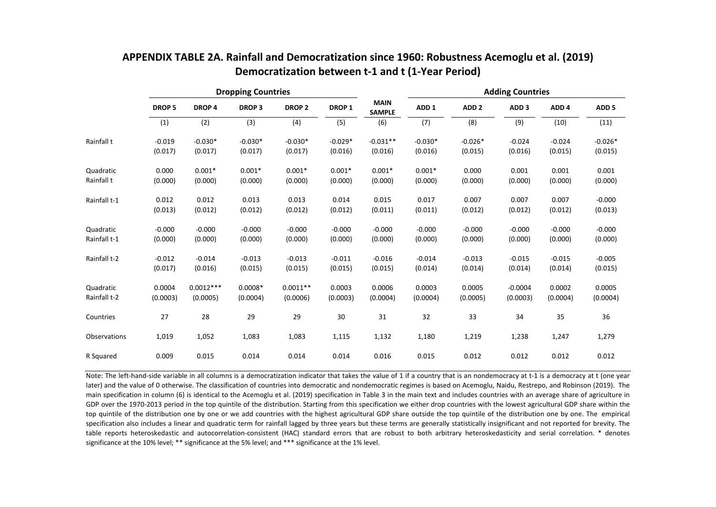|              |               |                   | <b>Dropping Countries</b>     |            |                   |                              | <b>Adding Countries</b> |                  |                  |                  |                  |  |
|--------------|---------------|-------------------|-------------------------------|------------|-------------------|------------------------------|-------------------------|------------------|------------------|------------------|------------------|--|
|              | <b>DROP 5</b> | DROP <sub>4</sub> | <b>DROP 2</b><br><b>DROP3</b> |            | DROP <sub>1</sub> | <b>MAIN</b><br><b>SAMPLE</b> | ADD <sub>1</sub>        | ADD <sub>2</sub> | ADD <sub>3</sub> | ADD <sub>4</sub> | ADD <sub>5</sub> |  |
|              | (1)           | (2)               | (3)                           | (4)        | (5)               | (6)                          | (7)                     | (8)              | (9)              | (10)             | (11)             |  |
| Rainfall t   | $-0.019$      | $-0.030*$         | $-0.030*$                     | $-0.030*$  | $-0.029*$         | $-0.031**$                   | $-0.030*$               | $-0.026*$        | $-0.024$         | $-0.024$         | $-0.026*$        |  |
|              | (0.017)       | (0.017)           | (0.017)                       | (0.017)    | (0.016)           | (0.016)                      | (0.016)                 | (0.015)          | (0.016)          | (0.015)          | (0.015)          |  |
| Quadratic    | 0.000         | $0.001*$          | $0.001*$                      | $0.001*$   | $0.001*$          | $0.001*$                     | $0.001*$                | 0.000            | 0.001            | 0.001            | 0.001            |  |
| Rainfall t   | (0.000)       | (0.000)           | (0.000)                       | (0.000)    | (0.000)           | (0.000)                      | (0.000)                 | (0.000)          | (0.000)          | (0.000)          | (0.000)          |  |
| Rainfall t-1 | 0.012         | 0.012             | 0.013                         | 0.013      | 0.014             | 0.015                        | 0.017                   | 0.007            | 0.007            | 0.007            | $-0.000$         |  |
|              | (0.013)       | (0.012)           | (0.012)                       | (0.012)    | (0.012)           | (0.011)                      | (0.011)                 | (0.012)          | (0.012)          | (0.012)          | (0.013)          |  |
| Quadratic    | $-0.000$      | $-0.000$          | $-0.000$                      | $-0.000$   | $-0.000$          | $-0.000$                     | $-0.000$                | $-0.000$         | $-0.000$         | $-0.000$         | $-0.000$         |  |
| Rainfall t-1 | (0.000)       | (0.000)           | (0.000)                       | (0.000)    | (0.000)           | (0.000)                      | (0.000)                 | (0.000)          | (0.000)          | (0.000)          | (0.000)          |  |
| Rainfall t-2 | $-0.012$      | $-0.014$          | $-0.013$                      | $-0.013$   | $-0.011$          | $-0.016$                     | $-0.014$                | $-0.013$         | $-0.015$         | $-0.015$         | $-0.005$         |  |
|              | (0.017)       | (0.016)           | (0.015)                       | (0.015)    | (0.015)           | (0.015)                      | (0.014)                 | (0.014)          | (0.014)          | (0.014)          | (0.015)          |  |
| Quadratic    | 0.0004        | $0.0012***$       | $0.0008*$                     | $0.0011**$ | 0.0003            | 0.0006                       | 0.0003                  | 0.0005           | $-0.0004$        | 0.0002           | 0.0005           |  |
| Rainfall t-2 | (0.0003)      | (0.0005)          | (0.0004)                      | (0.0006)   | (0.0003)          | (0.0004)                     | (0.0004)                | (0.0005)         | (0.0003)         | (0.0004)         | (0.0004)         |  |
| Countries    | 27            | 28                | 29                            | 29         | 30                | 31                           | 32                      | 33               | 34               | 35               | 36               |  |
| Observations | 1,019         | 1,052             | 1,083                         | 1,083      | 1,115             | 1,132                        | 1,180                   | 1,219            | 1,238            | 1,247            | 1,279            |  |
| R Squared    | 0.009         | 0.015             | 0.014                         | 0.014      | 0.014             | 0.016                        | 0.015                   | 0.012            | 0.012            | 0.012            | 0.012            |  |

### **APPENDIX TABLE 2A. Rainfall and Democratization since 1960: Robustness Acemoglu et al. (2019) Democratization between t‐1 and t (1‐Year Period)**

Note: The left-hand-side variable in all columns is a democratization indicator that takes the value of 1 if a country that is an nondemocracy at t-1 is a democracy at t (one year later) and the value of 0 otherwise. The classification of countries into democratic and nondemocratic regimes is based on Acemoglu, Naidu, Restrepo, and Robinson (2019). The main specification in column (6) is identical to the Acemoglu et al. (2019) specification in Table 3 in the main text and includes countries with an average share of agriculture in GDP over the 1970-2013 period in the top quintile of the distribution. Starting from this specification we either drop countries with the lowest agricultural GDP share within the top quintile of the distribution one by one or we add countries with the highest agricultural GDP share outside the top quintile of the distribution one by one. The empirical specification also includes a linear and quadratic term for rainfall lagged by three years but these terms are generally statistically insignificant and not reported for brevity. The table reports heteroskedastic and autocorrelation-consistent (HAC) standard errors that are robust to both arbitrary heteroskedasticity and serial correlation. \* denotes significance at the 10% level; \*\* significance at the 5% level; and \*\*\* significance at the 1% level.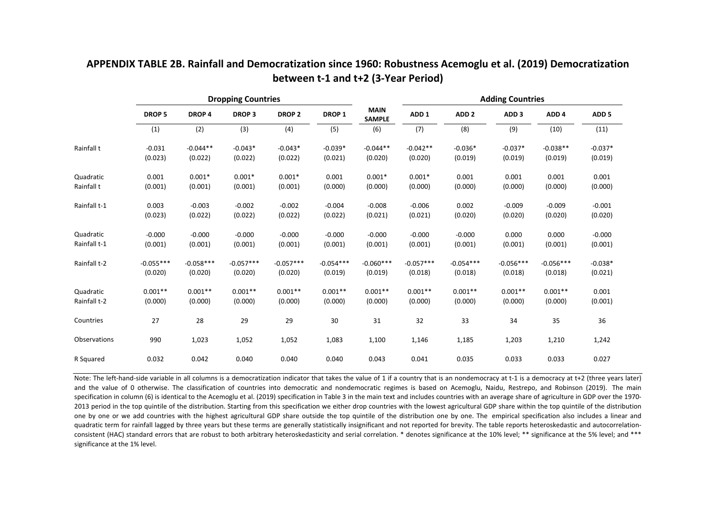|              |               |                   | <b>Dropping Countries</b> |               |                                                   |             |                  | <b>Adding Countries</b> |                  |                  |                  |
|--------------|---------------|-------------------|---------------------------|---------------|---------------------------------------------------|-------------|------------------|-------------------------|------------------|------------------|------------------|
|              | <b>DROP 5</b> | DROP <sub>4</sub> | <b>DROP3</b>              | <b>DROP 2</b> | <b>MAIN</b><br>DROP <sub>1</sub><br><b>SAMPLE</b> |             | ADD <sub>1</sub> | ADD <sub>2</sub>        | ADD <sub>3</sub> | ADD <sub>4</sub> | ADD <sub>5</sub> |
|              | (1)           | (2)               | (3)                       | (4)           | (5)                                               | (6)         | (7)              | (8)                     | (9)              | (10)             | (11)             |
| Rainfall t   | $-0.031$      | $-0.044**$        | $-0.043*$                 | $-0.043*$     | $-0.039*$                                         | $-0.044**$  | $-0.042**$       | $-0.036*$               | $-0.037*$        | $-0.038**$       | $-0.037*$        |
|              | (0.023)       | (0.022)           | (0.022)                   | (0.022)       | (0.021)                                           | (0.020)     | (0.020)          | (0.019)                 | (0.019)          | (0.019)          | (0.019)          |
| Quadratic    | 0.001         | $0.001*$          | $0.001*$                  | $0.001*$      | 0.001                                             | $0.001*$    | $0.001*$         | 0.001                   | 0.001            | 0.001            | 0.001            |
| Rainfall t   | (0.001)       | (0.001)           | (0.001)                   | (0.001)       | (0.000)                                           | (0.000)     | (0.000)          | (0.000)                 | (0.000)          | (0.000)          | (0.000)          |
| Rainfall t-1 | 0.003         | $-0.003$          | $-0.002$                  | $-0.002$      | $-0.004$                                          | $-0.008$    | $-0.006$         | 0.002                   | $-0.009$         | $-0.009$         | $-0.001$         |
|              | (0.023)       | (0.022)           | (0.022)                   | (0.022)       | (0.022)                                           | (0.021)     | (0.021)          | (0.020)                 | (0.020)          | (0.020)          | (0.020)          |
| Quadratic    | $-0.000$      | $-0.000$          | $-0.000$                  | $-0.000$      | $-0.000$                                          | $-0.000$    | $-0.000$         | $-0.000$                | 0.000            | 0.000            | $-0.000$         |
| Rainfall t-1 | (0.001)       | (0.001)           | (0.001)                   | (0.001)       | (0.001)                                           | (0.001)     | (0.001)          | (0.001)                 | (0.001)          | (0.001)          | (0.001)          |
| Rainfall t-2 | $-0.055***$   | $-0.058***$       | $-0.057***$               | $-0.057***$   | $-0.054***$                                       | $-0.060***$ | $-0.057***$      | $-0.054***$             | $-0.056***$      | $-0.056***$      | $-0.038*$        |
|              | (0.020)       | (0.020)           | (0.020)                   | (0.020)       | (0.019)                                           | (0.019)     | (0.018)          | (0.018)                 | (0.018)          | (0.018)          | (0.021)          |
| Quadratic    | $0.001**$     | $0.001**$         | $0.001**$                 | $0.001**$     | $0.001**$                                         | $0.001**$   | $0.001**$        | $0.001**$               | $0.001**$        | $0.001**$        | 0.001            |
| Rainfall t-2 | (0.000)       | (0.000)           | (0.000)                   | (0.000)       | (0.000)                                           | (0.000)     | (0.000)          | (0.000)                 | (0.000)          | (0.000)          | (0.001)          |
| Countries    | 27            | 28                | 29                        | 29            | 30                                                | 31          | 32               | 33                      | 34               | 35               | 36               |
| Observations | 990           | 1,023             | 1,052                     | 1,052         | 1,083                                             | 1,100       | 1,146            | 1,185                   | 1,203            | 1,210            | 1,242            |
| R Squared    | 0.032         | 0.042             | 0.040                     | 0.040         | 0.040                                             | 0.043       | 0.041            | 0.035                   | 0.033            | 0.033            | 0.027            |

## **APPENDIX TABLE 2B. Rainfall and Democratization since 1960: Robustness Acemoglu et al. (2019) Democratization between t‐1 and t+2 (3‐Year Period)**

Note: The left-hand-side variable in all columns is a democratization indicator that takes the value of 1 if a country that is an nondemocracy at t-1 is a democracy at t+2 (three years later) and the value of 0 otherwise. The classification of countries into democratic and nondemocratic regimes is based on Acemoglu, Naidu, Restrepo, and Robinson (2019). The main specification in column (6) is identical to the Acemoglu et al. (2019) specification in Table 3 in the main text and includes countries with an average share of agriculture in GDP over the 1970-2013 period in the top quintile of the distribution. Starting from this specification we either drop countries with the lowest agricultural GDP share within the top quintile of the distribution one by one or we add countries with the highest agricultural GDP share outside the top quintile of the distribution one by one. The empirical specification also includes <sup>a</sup> linear and quadratic term for rainfall lagged by three years but these terms are generally statistically insignificant and not reported for brevity. The table reports heteroskedastic and autocorrelationconsistent (HAC) standard errors that are robust to both arbitrary heteroskedasticity and serial correlation. \* denotes significance at the 10% level; \*\* significance at the 5% level; and \*\*\* significance at the 1% level.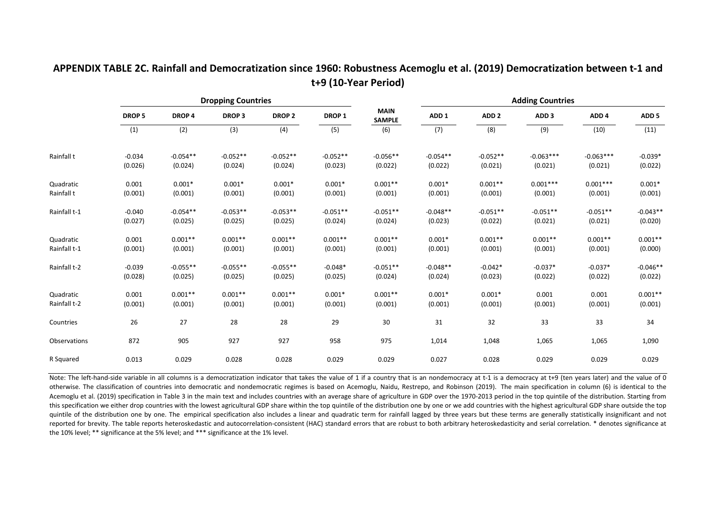### **APPENDIX TABLE 2C. Rainfall and Democratization since 1960: Robustness Acemoglu et al. (2019) Democratization between t‐1 and t+9 (10‐Year Period)**

|                           |                     |                       | <b>Dropping Countries</b> |                       |                      |                              | <b>Adding Countries</b> |                      |                      |                      |                       |  |  |
|---------------------------|---------------------|-----------------------|---------------------------|-----------------------|----------------------|------------------------------|-------------------------|----------------------|----------------------|----------------------|-----------------------|--|--|
|                           | <b>DROP 5</b>       | DROP <sub>4</sub>     | <b>DROP3</b>              | DROP <sub>2</sub>     | DROP <sub>1</sub>    | <b>MAIN</b><br><b>SAMPLE</b> | ADD <sub>1</sub>        | ADD <sub>2</sub>     | ADD <sub>3</sub>     | ADD <sub>4</sub>     | ADD <sub>5</sub>      |  |  |
|                           | (1)                 | (2)                   | (3)                       | (4)                   | (5)                  | (6)                          | (7)                     | (8)                  | (9)                  | (10)                 | (11)                  |  |  |
| Rainfall t                | $-0.034$            | $-0.054**$            | $-0.052**$                | $-0.052**$            | $-0.052**$           | $-0.056**$                   | $-0.054**$              | $-0.052**$           | $-0.063***$          | $-0.063***$          | $-0.039*$             |  |  |
|                           | (0.026)             | (0.024)               | (0.024)                   | (0.024)               | (0.023)              | (0.022)                      | (0.022)                 | (0.021)              | (0.021)              | (0.021)              | (0.022)               |  |  |
| Quadratic                 | 0.001               | $0.001*$              | $0.001*$                  | $0.001*$              | $0.001*$             | $0.001**$                    | $0.001*$                | $0.001**$            | $0.001***$           | $0.001***$           | $0.001*$              |  |  |
| Rainfall t                | (0.001)             | (0.001)               | (0.001)                   | (0.001)               | (0.001)              | (0.001)                      | (0.001)                 | (0.001)              | (0.001)              | (0.001)              | (0.001)               |  |  |
| Rainfall t-1              | $-0.040$            | $-0.054**$            | $-0.053**$                | $-0.053**$            | $-0.051**$           | $-0.051**$                   | $-0.048**$              | $-0.051**$           | $-0.051**$           | $-0.051**$           | $-0.043**$            |  |  |
|                           | (0.027)             | (0.025)               | (0.025)                   | (0.025)               | (0.024)              | (0.024)                      | (0.023)                 | (0.022)              | (0.021)              | (0.021)              | (0.020)               |  |  |
| Quadratic                 | 0.001               | $0.001**$             | $0.001**$                 | $0.001**$             | $0.001**$            | $0.001**$                    | $0.001*$                | $0.001**$            | $0.001**$            | $0.001**$            | $0.001**$             |  |  |
| Rainfall t-1              | (0.001)             | (0.001)               | (0.001)                   | (0.001)               | (0.001)              | (0.001)                      | (0.001)                 | (0.001)              | (0.001)              | (0.001)              | (0.000)               |  |  |
| Rainfall t-2              | $-0.039$<br>(0.028) | $-0.055**$<br>(0.025) | $-0.055**$<br>(0.025)     | $-0.055**$<br>(0.025) | $-0.048*$<br>(0.025) | $-0.051**$<br>(0.024)        | $-0.048**$<br>(0.024)   | $-0.042*$<br>(0.023) | $-0.037*$<br>(0.022) | $-0.037*$<br>(0.022) | $-0.046**$<br>(0.022) |  |  |
|                           |                     |                       |                           |                       |                      |                              |                         |                      |                      |                      |                       |  |  |
| Quadratic<br>Rainfall t-2 | 0.001<br>(0.001)    | $0.001**$<br>(0.001)  | $0.001**$<br>(0.001)      | $0.001**$<br>(0.001)  | $0.001*$<br>(0.001)  | $0.001**$<br>(0.001)         | $0.001*$<br>(0.001)     | $0.001*$<br>(0.001)  | 0.001<br>(0.001)     | 0.001<br>(0.001)     | $0.001**$<br>(0.001)  |  |  |
|                           |                     |                       |                           |                       |                      |                              |                         |                      |                      |                      |                       |  |  |
| Countries                 | 26                  | 27                    | 28                        | 28                    | 29                   | 30                           | 31                      | 32                   | 33                   | 33                   | 34                    |  |  |
| Observations              | 872                 | 905                   | 927                       | 927                   | 958                  | 975                          | 1,014                   | 1,048                | 1,065                | 1,065                | 1,090                 |  |  |
| R Squared                 | 0.013               | 0.029                 | 0.028                     | 0.028                 | 0.029                | 0.029                        | 0.027                   | 0.028                | 0.029                | 0.029                | 0.029                 |  |  |

Note: The left-hand-side variable in all columns is a democratization indicator that takes the value of 1 if a country that is an nondemocracy at t-1 is a democracy at t+9 (ten years later) and the value of 0 otherwise. The classification of countries into democratic and nondemocratic regimes is based on Acemoglu, Naidu, Restrepo, and Robinson (2019). The main specification in column (6) is identical to the Acemoglu et al. (2019) specification in Table 3 in the main text and includes countries with an average share of agriculture in GDP over the 1970-2013 period in the top quintile of the distribution. Starting from this specification we either drop countries with the lowest agricultural GDP share within the top quintile of the distribution one by one or we add countries with the highest agricultural GDP share outside the top quintile of the distribution one by one. The empirical specification also includes a linear and quadratic term for rainfall lagged by three years but these terms are generally statistically insignificant and not reported for brevity. The table reports heteroskedastic and autocorrelation-consistent (HAC) standard errors that are robust to both arbitrary heteroskedasticity and serial correlation. \* denotes significance at the 10% level; \*\* significance at the 5% level; and \*\*\* significance at the 1% level.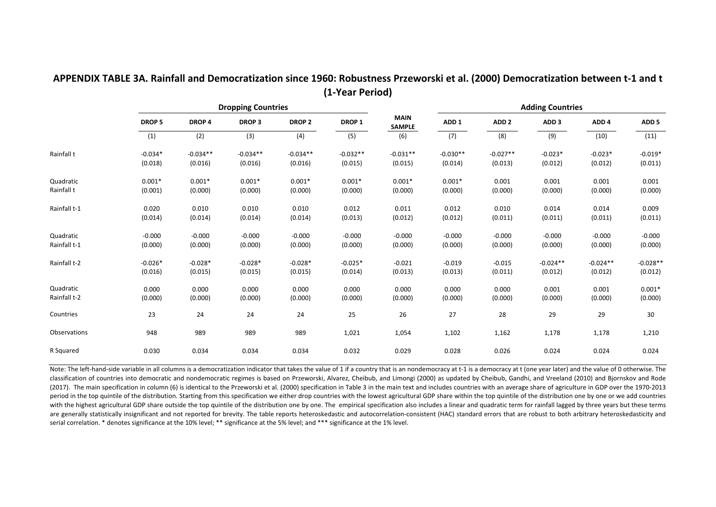|              |               |                   | <b>Dropping Countries</b> |                   |                   |                              | <b>Adding Countries</b> |                  |                  |                  |                  |  |
|--------------|---------------|-------------------|---------------------------|-------------------|-------------------|------------------------------|-------------------------|------------------|------------------|------------------|------------------|--|
|              | <b>DROP 5</b> | DROP <sub>4</sub> | <b>DROP3</b>              | DROP <sub>2</sub> | DROP <sub>1</sub> | <b>MAIN</b><br><b>SAMPLE</b> | ADD <sub>1</sub>        | ADD <sub>2</sub> | ADD <sub>3</sub> | ADD <sub>4</sub> | ADD <sub>5</sub> |  |
|              | (1)           | (2)               | (3)                       | (4)               | (5)               | (6)                          | (7)                     | (8)              | (9)              | (10)             | (11)             |  |
| Rainfall t   | $-0.034*$     | $-0.034**$        | $-0.034**$                | $-0.034**$        | $-0.032**$        | $-0.031**$                   | $-0.030**$              | $-0.027**$       | $-0.023*$        | $-0.023*$        | $-0.019*$        |  |
|              | (0.018)       | (0.016)           | (0.016)                   | (0.016)           | (0.015)           | (0.015)                      | (0.014)                 | (0.013)          | (0.012)          | (0.012)          | (0.011)          |  |
| Quadratic    | $0.001*$      | $0.001*$          | $0.001*$                  | $0.001*$          | $0.001*$          | $0.001*$                     | $0.001*$                | 0.001            | 0.001            | 0.001            | 0.001            |  |
| Rainfall t   | (0.001)       | (0.000)           | (0.000)                   | (0.000)           | (0.000)           | (0.000)                      | (0.000)                 | (0.000)          | (0.000)          | (0.000)          | (0.000)          |  |
| Rainfall t-1 | 0.020         | 0.010             | 0.010                     | 0.010             | 0.012             | 0.011                        | 0.012                   | 0.010            | 0.014            | 0.014            | 0.009            |  |
|              | (0.014)       | (0.014)           | (0.014)                   | (0.014)           | (0.013)           | (0.012)                      | (0.012)                 | (0.011)          | (0.011)          | (0.011)          | (0.011)          |  |
| Quadratic    | $-0.000$      | $-0.000$          | $-0.000$                  | $-0.000$          | $-0.000$          | $-0.000$                     | $-0.000$                | $-0.000$         | $-0.000$         | $-0.000$         | $-0.000$         |  |
| Rainfall t-1 | (0.000)       | (0.000)           | (0.000)                   | (0.000)           | (0.000)           | (0.000)                      | (0.000)                 | (0.000)          | (0.000)          | (0.000)          | (0.000)          |  |
| Rainfall t-2 | $-0.026*$     | $-0.028*$         | $-0.028*$                 | $-0.028*$         | $-0.025*$         | $-0.021$                     | $-0.019$                | $-0.015$         | $-0.024**$       | $-0.024**$       | $-0.028**$       |  |
|              | (0.016)       | (0.015)           | (0.015)                   | (0.015)           | (0.014)           | (0.013)                      | (0.013)                 | (0.011)          | (0.012)          | (0.012)          | (0.012)          |  |
| Quadratic    | 0.000         | 0.000             | 0.000                     | 0.000             | 0.000             | 0.000                        | 0.000                   | 0.000            | 0.001            | 0.001            | $0.001*$         |  |
| Rainfall t-2 | (0.000)       | (0.000)           | (0.000)                   | (0.000)           | (0.000)           | (0.000)                      | (0.000)                 | (0.000)          | (0.000)          | (0.000)          | (0.000)          |  |
| Countries    | 23            | 24                | 24                        | 24                | 25                | 26                           | 27                      | 28               | 29               | 29               | 30               |  |
| Observations | 948           | 989               | 989                       | 989               | 1,021             | 1,054                        | 1,102                   | 1,162            | 1,178            | 1,178            | 1,210            |  |
| R Squared    | 0.030         | 0.034             | 0.034                     | 0.034             | 0.032             | 0.029                        | 0.028                   | 0.026            | 0.024            | 0.024            | 0.024            |  |

#### **APPENDIX TABLE 3A. Rainfall and Democratization since 1960: Robustness Przeworski et al. (2000) Democratization between t‐1 and t (1‐Year Period)**

Note: The left-hand-side variable in all columns is a democratization indicator that takes the value of 1 if a country that is an nondemocracy at t-1 is a democracy at t (one year later) and the value of 0 otherwise. The classification of countries into democratic and nondemocratic regimes is based on Przeworski, Alvarez, Cheibub, and Limongi (2000) as updated by Cheibub, Gandhi, and Vreeland (2010) and Bjornskov and Rode (2017). The main specification in column (6) is identical to the Przeworski et al. (2000) specification in Table 3 in the main text and includes countries with an average share of agriculture in GDP over the 1970‐2013 period in the top quintile of the distribution. Starting from this specification we either drop countries with the lowest agricultural GDP share within the top quintile of the distribution one by one or we add countries with the highest agricultural GDP share outside the top quintile of the distribution one by one. The empirical specification also includes a linear and quadratic term for rainfall lagged by three years but these terms are generally statistically insignificant and not reported for brevity. The table reports heteroskedastic and autocorrelation-consistent (HAC) standard errors that are robust to both arbitrary heteroskedasticity and serial correlation. \* denotes significance at the 10% level; \*\* significance at the 5% level; and \*\*\* significance at the 1% level.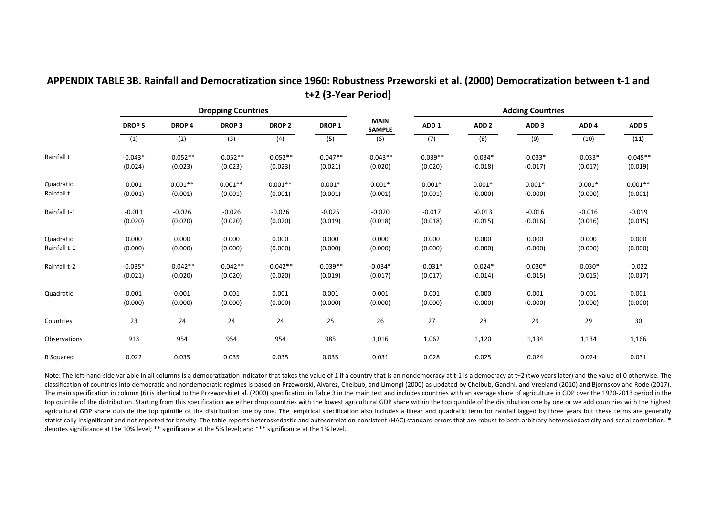|              |           |                   | <b>Dropping Countries</b> |                   |                   |                              | <b>Adding Countries</b> |                  |                  |                  |                  |  |
|--------------|-----------|-------------------|---------------------------|-------------------|-------------------|------------------------------|-------------------------|------------------|------------------|------------------|------------------|--|
|              | DROP 5    | DROP <sub>4</sub> | <b>DROP3</b>              | DROP <sub>2</sub> | DROP <sub>1</sub> | <b>MAIN</b><br><b>SAMPLE</b> | ADD <sub>1</sub>        | ADD <sub>2</sub> | ADD <sub>3</sub> | ADD <sub>4</sub> | ADD <sub>5</sub> |  |
|              | (1)       | (2)               | (3)                       | (4)               | (5)               | (6)                          | (7)                     | (8)              | (9)              | (10)             | (11)             |  |
| Rainfall t   | $-0.043*$ | $-0.052**$        | $-0.052**$                | $-0.052**$        | $-0.047**$        | $-0.043**$                   | $-0.039**$              | $-0.034*$        | $-0.033*$        | $-0.033*$        | $-0.045**$       |  |
|              | (0.024)   | (0.023)           | (0.023)                   | (0.023)           | (0.021)           | (0.020)                      | (0.020)                 | (0.018)          | (0.017)          | (0.017)          | (0.019)          |  |
| Quadratic    | 0.001     | $0.001**$         | $0.001**$                 | $0.001**$         | $0.001*$          | $0.001*$                     | $0.001*$                | $0.001*$         | $0.001*$         | $0.001*$         | $0.001**$        |  |
| Rainfall t   | (0.001)   | (0.001)           | (0.001)                   | (0.001)           | (0.001)           | (0.001)                      | (0.001)                 | (0.000)          | (0.000)          | (0.000)          | (0.001)          |  |
| Rainfall t-1 | $-0.011$  | $-0.026$          | $-0.026$                  | $-0.026$          | $-0.025$          | $-0.020$                     | $-0.017$                | $-0.013$         | $-0.016$         | $-0.016$         | $-0.019$         |  |
|              | (0.020)   | (0.020)           | (0.020)                   | (0.020)           | (0.019)           | (0.018)                      | (0.018)                 | (0.015)          | (0.016)          | (0.016)          | (0.015)          |  |
| Quadratic    | 0.000     | 0.000             | 0.000                     | 0.000             | 0.000             | 0.000                        | 0.000                   | 0.000            | 0.000            | 0.000            | 0.000            |  |
| Rainfall t-1 | (0.000)   | (0.000)           | (0.000)                   | (0.000)           | (0.000)           | (0.000)                      | (0.000)                 | (0.000)          | (0.000)          | (0.000)          | (0.000)          |  |
| Rainfall t-2 | $-0.035*$ | $-0.042**$        | $-0.042**$                | $-0.042**$        | $-0.039**$        | $-0.034*$                    | $-0.031*$               | $-0.024*$        | $-0.030*$        | $-0.030*$        | $-0.022$         |  |
|              | (0.021)   | (0.020)           | (0.020)                   | (0.020)           | (0.019)           | (0.017)                      | (0.017)                 | (0.014)          | (0.015)          | (0.015)          | (0.017)          |  |
| Quadratic    | 0.001     | 0.001             | 0.001                     | 0.001             | 0.001             | 0.001                        | 0.001                   | 0.000            | 0.001            | 0.001            | 0.001            |  |
|              | (0.000)   | (0.000)           | (0.000)                   | (0.000)           | (0.000)           | (0.000)                      | (0.000)                 | (0.000)          | (0.000)          | (0.000)          | (0.000)          |  |
| Countries    | 23        | 24                | 24                        | 24                | 25                | 26                           | 27                      | 28               | 29               | 29               | 30               |  |
| Observations | 913       | 954               | 954                       | 954               | 985               | 1,016                        | 1,062                   | 1,120            | 1,134            | 1,134            | 1,166            |  |
| R Squared    | 0.022     | 0.035             | 0.035                     | 0.035             | 0.035             | 0.031                        | 0.028                   | 0.025            | 0.024            | 0.024            | 0.031            |  |

## **APPENDIX TABLE 3B. Rainfall and Democratization since 1960: Robustness Przeworski et al. (2000) Democratization between t‐1 and t+2 (3‐Year Period)**

Note: The left-hand-side variable in all columns is a democratization indicator that takes the value of 1 if a country that is an nondemocracy at t-1 is a democracy at t+2 (two years later) and the value of 0 otherwise. Th classification of countries into democratic and nondemocratic regimes is based on Przeworski, Alvarez, Cheibub, and Limongi (2000) as updated by Cheibub, Gandhi, and Vreeland (2010) and Bjornskov and Rode (2017). The main specification in column (6) is identical to the Przeworski et al. (2000) specification in Table 3 in the main text and includes countries with an average share of agriculture in GDP over the 1970-2013 period in th top quintile of the distribution. Starting from this specification we either drop countries with the lowest agricultural GDP share within the top quintile of the distribution one by one or we add countries with the highest agricultural GDP share outside the top quintile of the distribution one by one. The empirical specification also includes a linear and quadratic term for rainfall lagged by three years but these terms are generally statistically insignificant and not reported for brevity. The table reports heteroskedastic and autocorrelation-consistent (HAC) standard errors that are robust to both arbitrary heteroskedasticity and serial correlation. denotes significance at the 10% level; \*\* significance at the 5% level; and \*\*\* significance at the 1% level.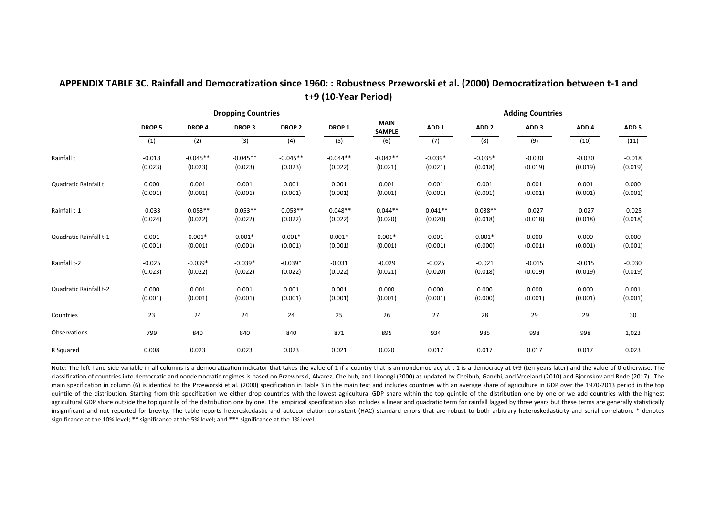| APPENDIX TABLE 3C. Rainfall and Democratization since 1960: : Robustness Przeworski et al. (2000) Democratization between t-1 and |
|-----------------------------------------------------------------------------------------------------------------------------------|
| t+9 (10-Year Period)                                                                                                              |

|                        |              |                   | <b>Dropping Countries</b> |               |                   |                              | <b>Adding Countries</b> |                  |                  |                  |                  |  |
|------------------------|--------------|-------------------|---------------------------|---------------|-------------------|------------------------------|-------------------------|------------------|------------------|------------------|------------------|--|
|                        | <b>DROP5</b> | DROP <sub>4</sub> | <b>DROP3</b>              | <b>DROP 2</b> | DROP <sub>1</sub> | <b>MAIN</b><br><b>SAMPLE</b> | ADD <sub>1</sub>        | ADD <sub>2</sub> | ADD <sub>3</sub> | ADD <sub>4</sub> | ADD <sub>5</sub> |  |
|                        | (1)          | (2)               | (3)                       | (4)           | (5)               | (6)                          | (7)                     | (8)              | (9)              | (10)             | (11)             |  |
| Rainfall t             | $-0.018$     | $-0.045**$        | $-0.045**$                | $-0.045**$    | $-0.044**$        | $-0.042**$                   | $-0.039*$               | $-0.035*$        | $-0.030$         | $-0.030$         | $-0.018$         |  |
|                        | (0.023)      | (0.023)           | (0.023)                   | (0.023)       | (0.022)           | (0.021)                      | (0.021)                 | (0.018)          | (0.019)          | (0.019)          | (0.019)          |  |
| Quadratic Rainfall t   | 0.000        | 0.001             | 0.001                     | 0.001         | 0.001             | 0.001                        | 0.001                   | 0.001            | 0.001            | 0.001            | 0.000            |  |
|                        | (0.001)      | (0.001)           | (0.001)                   | (0.001)       | (0.001)           | (0.001)                      | (0.001)                 | (0.001)          | (0.001)          | (0.001)          | (0.001)          |  |
| Rainfall t-1           | $-0.033$     | $-0.053**$        | $-0.053**$                | $-0.053**$    | $-0.048**$        | $-0.044**$                   | $-0.041**$              | $-0.038**$       | $-0.027$         | $-0.027$         | $-0.025$         |  |
|                        | (0.024)      | (0.022)           | (0.022)                   | (0.022)       | (0.022)           | (0.020)                      | (0.020)                 | (0.018)          | (0.018)          | (0.018)          | (0.018)          |  |
| Quadratic Rainfall t-1 | 0.001        | $0.001*$          | $0.001*$                  | $0.001*$      | $0.001*$          | $0.001*$                     | 0.001                   | $0.001*$         | 0.000            | 0.000            | 0.000            |  |
|                        | (0.001)      | (0.001)           | (0.001)                   | (0.001)       | (0.001)           | (0.001)                      | (0.001)                 | (0.000)          | (0.001)          | (0.001)          | (0.001)          |  |
| Rainfall t-2           | $-0.025$     | $-0.039*$         | $-0.039*$                 | $-0.039*$     | $-0.031$          | $-0.029$                     | $-0.025$                | $-0.021$         | $-0.015$         | $-0.015$         | $-0.030$         |  |
|                        | (0.023)      | (0.022)           | (0.022)                   | (0.022)       | (0.022)           | (0.021)                      | (0.020)                 | (0.018)          | (0.019)          | (0.019)          | (0.019)          |  |
| Quadratic Rainfall t-2 | 0.000        | 0.001             | 0.001                     | 0.001         | 0.001             | 0.000                        | 0.000                   | 0.000            | 0.000            | 0.000            | 0.001            |  |
|                        | (0.001)      | (0.001)           | (0.001)                   | (0.001)       | (0.001)           | (0.001)                      | (0.001)                 | (0.000)          | (0.001)          | (0.001)          | (0.001)          |  |
| Countries              | 23           | 24                | 24                        | 24            | 25                | 26                           | 27                      | 28               | 29               | 29               | 30               |  |
| Observations           | 799          | 840               | 840                       | 840           | 871               | 895                          | 934                     | 985              | 998              | 998              | 1,023            |  |
| R Squared              | 0.008        | 0.023             | 0.023                     | 0.023         | 0.021             | 0.020                        | 0.017                   | 0.017            | 0.017            | 0.017            | 0.023            |  |

Note: The left-hand-side variable in all columns is a democratization indicator that takes the value of 1 if a country that is an nondemocracy at t-1 is a democracy at t+9 (ten years later) and the value of 0 otherwise. Th classification of countries into democratic and nondemocratic regimes is based on Przeworski, Alvarez, Cheibub, and Limongi (2000) as updated by Cheibub, Gandhi, and Vreeland (2010) and Bjornskov and Rode (2017). The main specification in column (6) is identical to the Przeworski et al. (2000) specification in Table 3 in the main text and includes countries with an average share of agriculture in GDP over the 1970-2013 period in the to quintile of the distribution. Starting from this specification we either drop countries with the lowest agricultural GDP share within the top quintile of the distribution one by one or we add countries with the highest agricultural GDP share outside the top quintile of the distribution one by one. The empirical specification also includes a linear and quadratic term for rainfall lagged by three years but these terms are generally statist insignificant and not reported for brevity. The table reports heteroskedastic and autocorrelation-consistent (HAC) standard errors that are robust to both arbitrary heteroskedasticity and serial correlation. \* denotes significance at the 10% level; \*\* significance at the 5% level; and \*\*\* significance at the 1% level.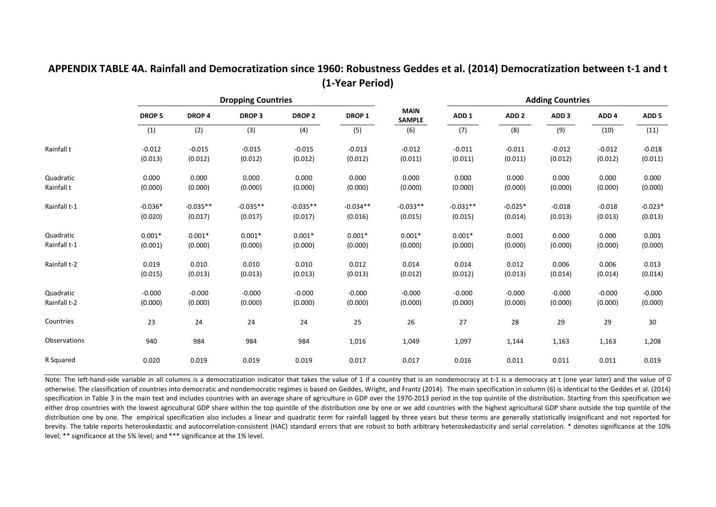|              |               |              | <b>Dropping Countries</b> |                   |                   |                              |                  |                  | <b>Adding Countries</b> |                  |                  |
|--------------|---------------|--------------|---------------------------|-------------------|-------------------|------------------------------|------------------|------------------|-------------------------|------------------|------------------|
|              | <b>DROP 5</b> | <b>DROP4</b> | <b>DROP3</b>              | DROP <sub>2</sub> | DROP <sub>1</sub> | <b>MAIN</b><br><b>SAMPLE</b> | ADD <sub>1</sub> | ADD <sub>2</sub> | ADD <sub>3</sub>        | ADD <sub>4</sub> | ADD <sub>5</sub> |
|              | (1)           | (2)          | (3)                       | (4)               | (5)               | (6)                          | (7)              | (8)              | (9)                     | (10)             | (11)             |
| Rainfall t   | $-0.012$      | $-0.015$     | $-0.015$                  | $-0.015$          | $-0.013$          | $-0.012$                     | $-0.011$         | $-0.011$         | $-0.012$                | $-0.012$         | $-0.018$         |
|              | (0.013)       | (0.012)      | (0.012)                   | (0.012)           | (0.012)           | (0.011)                      | (0.011)          | (0.011)          | (0.012)                 | (0.012)          | (0.011)          |
| Quadratic    | 0.000         | 0.000        | 0.000                     | 0.000             | 0.000             | 0.000                        | 0.000            | 0.000            | 0.000                   | 0.000            | 0.000            |
| Rainfall t   | (0.000)       | (0.000)      | (0.000)                   | (0.000)           | (0.000)           | (0.000)                      | (0.000)          | (0.000)          | (0.000)                 | (0.000)          | (0.000)          |
| Rainfall t-1 | $-0.036*$     | $-0.035**$   | $-0.035**$                | $-0.035**$        | $-0.034**$        | $-0.033**$                   | $-0.031**$       | $-0.025*$        | $-0.018$                | $-0.018$         | $-0.023*$        |
|              | (0.020)       | (0.017)      | (0.017)                   | (0.017)           | (0.016)           | (0.015)                      | (0.015)          | (0.014)          | (0.013)                 | (0.013)          | (0.013)          |
| Quadratic    | $0.001*$      | $0.001*$     | $0.001*$                  | $0.001*$          | $0.001*$          | $0.001*$                     | $0.001*$         | 0.001            | 0.000                   | 0.000            | 0.001            |
| Rainfall t-1 | (0.001)       | (0.000)      | (0.000)                   | (0.000)           | (0.000)           | (0.000)                      | (0.000)          | (0.000)          | (0.000)                 | (0.000)          | (0.000)          |
| Rainfall t-2 | 0.019         | 0.010        | 0.010                     | 0.010             | 0.012             | 0.014                        | 0.014            | 0.012            | 0.006                   | 0.006            | 0.013            |
|              | (0.015)       | (0.013)      | (0.013)                   | (0.013)           | (0.013)           | (0.012)                      | (0.012)          | (0.013)          | (0.014)                 | (0.014)          | (0.014)          |
| Quadratic    | $-0.000$      | $-0.000$     | $-0.000$                  | $-0.000$          | $-0.000$          | $-0.000$                     | $-0.000$         | $-0.000$         | $-0.000$                | $-0.000$         | $-0.000$         |
| Rainfall t-2 | (0.000)       | (0.000)      | (0.000)                   | (0.000)           | (0.000)           | (0.000)                      | (0.000)          | (0.000)          | (0.000)                 | (0.000)          | (0.000)          |
| Countries    | 23            | 24           | 24                        | 24                | 25                | 26                           | 27               | 28               | 29                      | 29               | 30               |
| Observations | 940           | 984          | 984                       | 984               | 1,016             | 1,049                        | 1,097            | 1,144            | 1,163                   | 1,163            | 1,208            |
| R Squared    | 0.020         | 0.019        | 0.019                     | 0.019             | 0.017             | 0.017                        | 0.016            | 0.011            | 0.011                   | 0.011            | 0.019            |

## **APPENDIX TABLE 4A. Rainfall and Democratization since 1960: Robustness Geddes et al. (2014) Democratization between t‐1 and t (1‐Year Period)**

Note: The left-hand-side variable in all columns is a democratization indicator that takes the value of 1 if a country that is an nondemocracy at t-1 is a democracy at t (one year later) and the value of 0 otherwise. The classification of countries into democratic and nondemocratic regimes is based on Geddes, Wright, and Frantz (2014). The main specification in column (6) is identical to the Geddes et al. (2014) specification in Table 3 in the main text and includes countries with an average share of agriculture in GDP over the 1970-2013 period in the top quintile of the distribution. Starting from this specification we either drop countries with the lowest agricultural GDP share within the top quintile of the distribution one by one or we add countries with the highest agricultural GDP share outside the top quintile of the distribution one by one. The empirical specification also includes a linear and quadratic term for rainfall lagged by three years but these terms are generally statistically insignificant and not reported for brevity. The table reports heteroskedastic and autocorrelation-consistent (HAC) standard errors that are robust to both arbitrary heteroskedasticity and serial correlation. \* denotes significance at the 10% level; \*\* significance at the 5% level; and \*\*\* significance at the 1% level.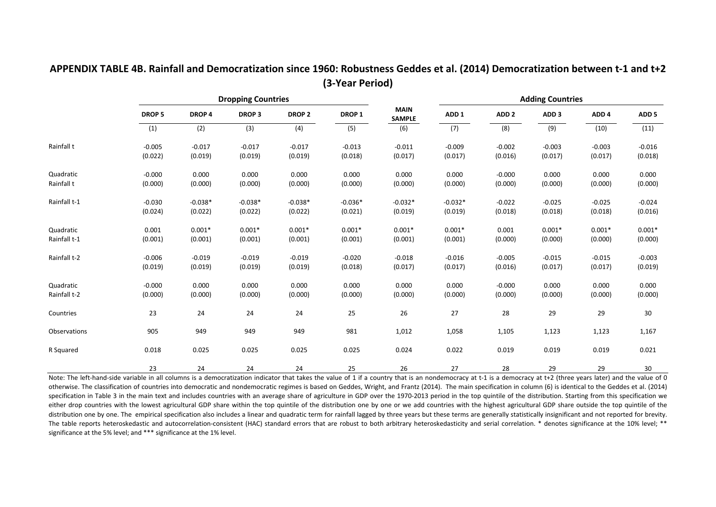|              |               |           | <b>Dropping Countries</b> |                   |                   |                              |                  |                  | <b>Adding Countries</b> |                  |                  |
|--------------|---------------|-----------|---------------------------|-------------------|-------------------|------------------------------|------------------|------------------|-------------------------|------------------|------------------|
|              | <b>DROP 5</b> | DROP 4    | <b>DROP3</b>              | DROP <sub>2</sub> | DROP <sub>1</sub> | <b>MAIN</b><br><b>SAMPLE</b> | ADD <sub>1</sub> | ADD <sub>2</sub> | ADD <sub>3</sub>        | ADD <sub>4</sub> | ADD <sub>5</sub> |
|              | (1)           | (2)       | (3)                       | (4)               | (5)               | (6)                          | (7)              | (8)              | (9)                     | (10)             | (11)             |
| Rainfall t   | $-0.005$      | $-0.017$  | $-0.017$                  | $-0.017$          | $-0.013$          | $-0.011$                     | $-0.009$         | $-0.002$         | $-0.003$                | $-0.003$         | $-0.016$         |
|              | (0.022)       | (0.019)   | (0.019)                   | (0.019)           | (0.018)           | (0.017)                      | (0.017)          | (0.016)          | (0.017)                 | (0.017)          | (0.018)          |
| Quadratic    | $-0.000$      | 0.000     | 0.000                     | 0.000             | 0.000             | 0.000                        | 0.000            | $-0.000$         | 0.000                   | 0.000            | 0.000            |
| Rainfall t   | (0.000)       | (0.000)   | (0.000)                   | (0.000)           | (0.000)           | (0.000)                      | (0.000)          | (0.000)          | (0.000)                 | (0.000)          | (0.000)          |
| Rainfall t-1 | $-0.030$      | $-0.038*$ | $-0.038*$                 | $-0.038*$         | $-0.036*$         | $-0.032*$                    | $-0.032*$        | $-0.022$         | $-0.025$                | $-0.025$         | $-0.024$         |
|              | (0.024)       | (0.022)   | (0.022)                   | (0.022)           | (0.021)           | (0.019)                      | (0.019)          | (0.018)          | (0.018)                 | (0.018)          | (0.016)          |
| Quadratic    | 0.001         | $0.001*$  | $0.001*$                  | $0.001*$          | $0.001*$          | $0.001*$                     | $0.001*$         | 0.001            | $0.001*$                | $0.001*$         | $0.001*$         |
| Rainfall t-1 | (0.001)       | (0.001)   | (0.001)                   | (0.001)           | (0.001)           | (0.001)                      | (0.001)          | (0.000)          | (0.000)                 | (0.000)          | (0.000)          |
| Rainfall t-2 | $-0.006$      | $-0.019$  | $-0.019$                  | $-0.019$          | $-0.020$          | $-0.018$                     | $-0.016$         | $-0.005$         | $-0.015$                | $-0.015$         | $-0.003$         |
|              | (0.019)       | (0.019)   | (0.019)                   | (0.019)           | (0.018)           | (0.017)                      | (0.017)          | (0.016)          | (0.017)                 | (0.017)          | (0.019)          |
| Quadratic    | $-0.000$      | 0.000     | 0.000                     | 0.000             | 0.000             | 0.000                        | 0.000            | $-0.000$         | 0.000                   | 0.000            | 0.000            |
| Rainfall t-2 | (0.000)       | (0.000)   | (0.000)                   | (0.000)           | (0.000)           | (0.000)                      | (0.000)          | (0.000)          | (0.000)                 | (0.000)          | (0.000)          |
| Countries    | 23            | 24        | 24                        | 24                | 25                | 26                           | 27               | 28               | 29                      | 29               | 30               |
| Observations | 905           | 949       | 949                       | 949               | 981               | 1,012                        | 1,058            | 1,105            | 1,123                   | 1,123            | 1,167            |
| R Squared    | 0.018         | 0.025     | 0.025                     | 0.025             | 0.025             | 0.024                        | 0.022            | 0.019            | 0.019                   | 0.019            | 0.021            |
|              | 23            | 24        | 24                        | 24                | 25                | 26                           | 27               | 28               | 29                      | 29               | 30               |

## **APPENDIX TABLE 4B. Rainfall and Democratization since 1960: Robustness Geddes et al. (2014) Democratization between t‐1 and t+2 (3‐Year Period)**

Note: The left-hand-side variable in all columns is a democratization indicator that takes the value of 1 if a country that is an nondemocracy at t-1 is a democracy at t+2 (three years later) and the value of 0 otherwise. The classification of countries into democratic and nondemocratic regimes is based on Geddes, Wright, and Frantz (2014). The main specification in column (6) is identical to the Geddes et al. (2014) specification in Table 3 in the main text and includes countries with an average share of agriculture in GDP over the 1970-2013 period in the top quintile of the distribution. Starting from this specification we either drop countries with the lowest agricultural GDP share within the top quintile of the distribution one by one or we add countries with the highest agricultural GDP share outside the top quintile of the distribution one by one. The empirical specification also includes a linear and quadratic term for rainfall lagged by three years but these terms are generally statistically insignificant and not reported for brevity. The table reports heteroskedastic and autocorrelation-consistent (HAC) standard errors that are robust to both arbitrary heteroskedasticity and serial correlation. \* denotes significance at the 10% level; \*\* significance at the 5% level; and \*\*\* significance at the 1% level.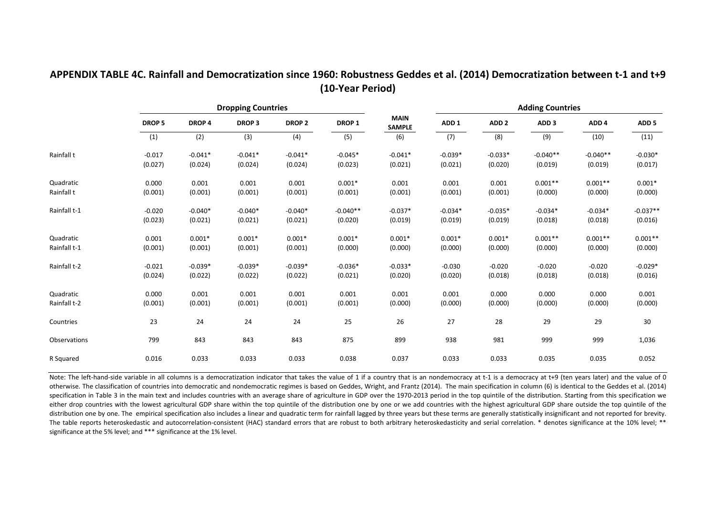### **APPENDIX TABLE 4C. Rainfall and Democratization since 1960: Robustness Geddes et al. (2014) Democratization between t‐1 and t+9 (10‐Year Period)**

|              |               |           | <b>Dropping Countries</b> |               |            |                       |                  |                  | <b>Adding Countries</b> |                  |                  |
|--------------|---------------|-----------|---------------------------|---------------|------------|-----------------------|------------------|------------------|-------------------------|------------------|------------------|
|              | <b>DROP 5</b> | DROP 4    | <b>DROP3</b>              | <b>DROP 2</b> | DROP 1     | <b>MAIN</b><br>SAMPLE | ADD <sub>1</sub> | ADD <sub>2</sub> | ADD <sub>3</sub>        | ADD <sub>4</sub> | ADD <sub>5</sub> |
|              | (1)           | (2)       | (3)                       | (4)           | (5)        | (6)                   | (7)              | (8)              | (9)                     | (10)             | (11)             |
| Rainfall t   | $-0.017$      | $-0.041*$ | $-0.041*$                 | $-0.041*$     | $-0.045*$  | $-0.041*$             | $-0.039*$        | $-0.033*$        | $-0.040**$              | $-0.040**$       | $-0.030*$        |
|              | (0.027)       | (0.024)   | (0.024)                   | (0.024)       | (0.023)    | (0.021)               | (0.021)          | (0.020)          | (0.019)                 | (0.019)          | (0.017)          |
| Quadratic    | 0.000         | 0.001     | 0.001                     | 0.001         | $0.001*$   | 0.001                 | 0.001            | 0.001            | $0.001**$               | $0.001**$        | $0.001*$         |
| Rainfall t   | (0.001)       | (0.001)   | (0.001)                   | (0.001)       | (0.001)    | (0.001)               | (0.001)          | (0.001)          | (0.000)                 | (0.000)          | (0.000)          |
| Rainfall t-1 | $-0.020$      | $-0.040*$ | $-0.040*$                 | $-0.040*$     | $-0.040**$ | $-0.037*$             | $-0.034*$        | $-0.035*$        | $-0.034*$               | $-0.034*$        | $-0.037**$       |
|              | (0.023)       | (0.021)   | (0.021)                   | (0.021)       | (0.020)    | (0.019)               | (0.019)          | (0.019)          | (0.018)                 | (0.018)          | (0.016)          |
| Quadratic    | 0.001         | $0.001*$  | $0.001*$                  | $0.001*$      | $0.001*$   | $0.001*$              | $0.001*$         | $0.001*$         | $0.001**$               | $0.001**$        | $0.001**$        |
| Rainfall t-1 | (0.001)       | (0.001)   | (0.001)                   | (0.001)       | (0.000)    | (0.000)               | (0.000)          | (0.000)          | (0.000)                 | (0.000)          | (0.000)          |
| Rainfall t-2 | $-0.021$      | $-0.039*$ | $-0.039*$                 | $-0.039*$     | $-0.036*$  | $-0.033*$             | $-0.030$         | $-0.020$         | $-0.020$                | $-0.020$         | $-0.029*$        |
|              | (0.024)       | (0.022)   | (0.022)                   | (0.022)       | (0.021)    | (0.020)               | (0.020)          | (0.018)          | (0.018)                 | (0.018)          | (0.016)          |
| Quadratic    | 0.000         | 0.001     | 0.001                     | 0.001         | 0.001      | 0.001                 | 0.001            | 0.000            | 0.000                   | 0.000            | 0.001            |
| Rainfall t-2 | (0.001)       | (0.001)   | (0.001)                   | (0.001)       | (0.001)    | (0.000)               | (0.000)          | (0.000)          | (0.000)                 | (0.000)          | (0.000)          |
| Countries    | 23            | 24        | 24                        | 24            | 25         | 26                    | 27               | 28               | 29                      | 29               | 30               |
| Observations | 799           | 843       | 843                       | 843           | 875        | 899                   | 938              | 981              | 999                     | 999              | 1,036            |
| R Squared    | 0.016         | 0.033     | 0.033                     | 0.033         | 0.038      | 0.037                 | 0.033            | 0.033            | 0.035                   | 0.035            | 0.052            |

Note: The left-hand-side variable in all columns is a democratization indicator that takes the value of 1 if a country that is an nondemocracy at t-1 is a democracy at t+9 (ten years later) and the value of 0 otherwise. The classification of countries into democratic and nondemocratic regimes is based on Geddes, Wright, and Frantz (2014). The main specification in column (6) is identical to the Geddes et al. (2014) specification in Table 3 in the main text and includes countries with an average share of agriculture in GDP over the 1970‐2013 period in the top quintile of the distribution. Starting from this specification we either drop countries with the lowest agricultural GDP share within the top quintile of the distribution one by one or we add countries with the highest agricultural GDP share outside the top quintile of the distribution one by one. The empirical specification also includes <sup>a</sup> linear and quadratic term for rainfall lagged by three years but these terms are generally statistically insignificant and not reported for brevity. The table reports heteroskedastic and autocorrelation-consistent (HAC) standard errors that are robust to both arbitrary heteroskedasticity and serial correlation. \* denotes significance at the 10% level; \*\* significance at the 5% level; and \*\*\* significance at the 1% level.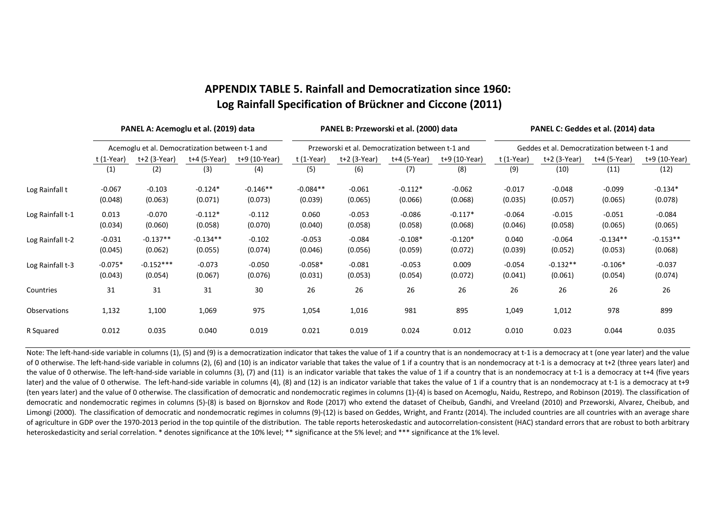# **APPENDIX TABLE 5. Rainfall and Democratization since 1960: Log Rainfall Specification of Brückner and Ciccone (2011)**

|                  | PANEL A: Acemoglu et al. (2019) data |                                                 |              |               |             | PANEL B: Przeworski et al. (2000) data            |              |               | PANEL C: Geddes et al. (2014) data            |              |              |               |  |
|------------------|--------------------------------------|-------------------------------------------------|--------------|---------------|-------------|---------------------------------------------------|--------------|---------------|-----------------------------------------------|--------------|--------------|---------------|--|
|                  |                                      | Acemoglu et al. Democratization between t-1 and |              |               |             | Przeworski et al. Democratization between t-1 and |              |               | Geddes et al. Democratization between t-1 and |              |              |               |  |
|                  | t (1-Year)                           | $t+2$ (3-Year)                                  | t+4 (5-Year) | t+9 (10-Year) | $t(1-Year)$ | $t+2$ (3-Year)                                    | t+4 (5-Year) | t+9 (10-Year) | t (1-Year)                                    | t+2 (3-Year) | t+4 (5-Year) | t+9 (10-Year) |  |
|                  | (1)                                  | (2)                                             | (3)          | (4)           | (5)         | (6)                                               | (7)          | (8)           | (9)                                           | (10)         | (11)         | (12)          |  |
| Log Rainfall t   | $-0.067$                             | $-0.103$                                        | $-0.124*$    | $-0.146**$    | $-0.084**$  | $-0.061$                                          | $-0.112*$    | $-0.062$      | $-0.017$                                      | $-0.048$     | $-0.099$     | $-0.134*$     |  |
|                  | (0.048)                              | (0.063)                                         | (0.071)      | (0.073)       | (0.039)     | (0.065)                                           | (0.066)      | (0.068)       | (0.035)                                       | (0.057)      | (0.065)      | (0.078)       |  |
| Log Rainfall t-1 | 0.013                                | $-0.070$                                        | $-0.112*$    | $-0.112$      | 0.060       | $-0.053$                                          | $-0.086$     | $-0.117*$     | $-0.064$                                      | $-0.015$     | $-0.051$     | $-0.084$      |  |
|                  | (0.034)                              | (0.060)                                         | (0.058)      | (0.070)       | (0.040)     | (0.058)                                           | (0.058)      | (0.068)       | (0.046)                                       | (0.058)      | (0.065)      | (0.065)       |  |
| Log Rainfall t-2 | $-0.031$                             | $-0.137**$                                      | $-0.134**$   | $-0.102$      | $-0.053$    | $-0.084$                                          | $-0.108*$    | $-0.120*$     | 0.040                                         | $-0.064$     | $-0.134**$   | $-0.153**$    |  |
|                  | (0.045)                              | (0.062)                                         | (0.055)      | (0.074)       | (0.046)     | (0.056)                                           | (0.059)      | (0.072)       | (0.039)                                       | (0.052)      | (0.053)      | (0.068)       |  |
| Log Rainfall t-3 | $-0.075*$                            | $-0.152***$                                     | $-0.073$     | $-0.050$      | $-0.058*$   | $-0.081$                                          | $-0.053$     | 0.009         | $-0.054$                                      | $-0.132**$   | $-0.106*$    | $-0.037$      |  |
|                  | (0.043)                              | (0.054)                                         | (0.067)      | (0.076)       | (0.031)     | (0.053)                                           | (0.054)      | (0.072)       | (0.041)                                       | (0.061)      | (0.054)      | (0.074)       |  |
| Countries        | 31                                   | 31                                              | 31           | 30            | 26          | 26                                                | 26           | 26            | 26                                            | 26           | 26           | 26            |  |
| Observations     | 1,132                                | 1,100                                           | 1,069        | 975           | 1,054       | 1,016                                             | 981          | 895           | 1,049                                         | 1,012        | 978          | 899           |  |
| R Squared        | 0.012                                | 0.035                                           | 0.040        | 0.019         | 0.021       | 0.019                                             | 0.024        | 0.012         | 0.010                                         | 0.023        | 0.044        | 0.035         |  |

Note: The left-hand-side variable in columns (1), (5) and (9) is a democratization indicator that takes the value of 1 if a country that is an nondemocracy at t-1 is a democracy at t (one year later) and the value of 0 otherwise. The left-hand-side variable in columns (2), (6) and (10) is an indicator variable that takes the value of 1 if a country that is an nondemocracy at t-1 is a democracy at t+2 (three years later) and the value of 0 otherwise. The left-hand-side variable in columns (3), (7) and (11) is an indicator variable that takes the value of 1 if a country that is an nondemocracy at t-1 is a democracy at t+4 (five years later) and the value of 0 otherwise. The left-hand-side variable in columns (4), (8) and (12) is an indicator variable that takes the value of 1 if a country that is an nondemocracy at t‐1 is a democracy at t+9 (ten years later) and the value of 0 otherwise. The classification of democratic and nondemocratic regimes in columns (1)‐(4) is based on Acemoglu, Naidu, Restrepo, and Robinson (2019). The classification of democratic and nondemocratic regimes in columns (5)-(8) is based on Bjornskov and Rode (2017) who extend the dataset of Cheibub, Gandhi, and Vreeland (2010) and Przeworski, Alvarez, Cheibub, and Limongi (2000). The classification of democratic and nondemocratic regimes in columns (9)‐(12) is based on Geddes, Wright, and Frantz (2014). The included countries are all countries with an average share of agriculture in GDP over the 1970‐2013 period in the top quintile of the distribution. The table reports heteroskedastic and autocorrelation‐consistent (HAC) standard errors that are robust to both arbitrary heteroskedasticity and serial correlation. \* denotes significance at the 10% level; \*\* significance at the 5% level; and \*\*\* significance at the 1% level.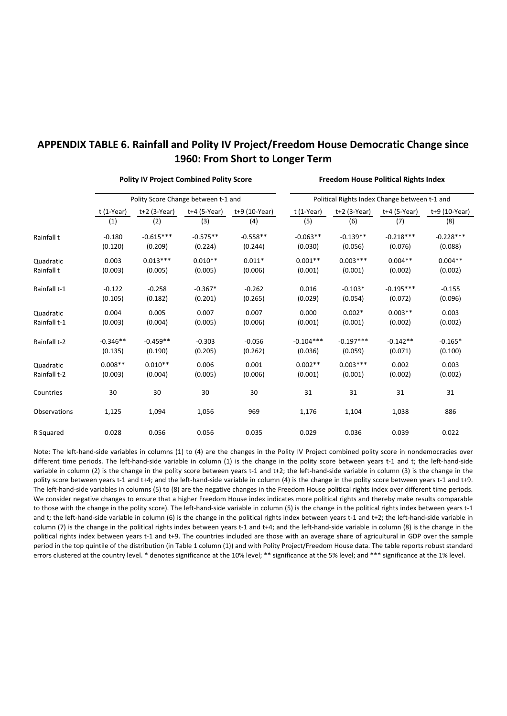## **APPENDIX TABLE 6. Rainfall and Polity IV Project/Freedom House Democratic Change since 1960: From Short to Longer Term**

t (1‐Year) t+2 (3‐Year) t+4 (5‐Year) t+9 (10‐Year) t (1‐Year) t+2 (3‐Year) t+4 (5‐Year) t+9 (10‐Year) (1) (2) (3) (4) (5) (6) (7) (8) ‐0.180 ‐0.615\*\*\* ‐0.575\*\* ‐0.558\*\* ‐0.063\*\* ‐0.139\*\* ‐0.218\*\*\* ‐0.228\*\*\* (0.120) (0.209) (0.224) (0.244) (0.030) (0.056) (0.076) (0.088)  $0.003$   $0.013***$   $0.010**$   $0.011*$   $0.001**$   $0.003***$   $0.004***$   $0.004**$ (0.003) (0.005) (0.005) (0.006) (0.001) (0.001) (0.002) (0.002) Rainfall t-1 -0.122 -0.258 -0.367\* -0.262 0.016 -0.103\* -0.195\*\*\* -0.155 (0.105) (0.182) (0.201) (0.265) (0.029) (0.054) (0.072) (0.096)  $0.004$   $0.005$   $0.007$   $0.007$   $0.000$   $0.002*$   $0.003**$  0.003 (0.003) (0.004) (0.005) (0.006) (0.001) (0.001) (0.002) (0.002) ‐0.346\*\* ‐0.459\*\* ‐0.303 ‐0.056 ‐0.104\*\*\* ‐0.197\*\*\* ‐0.142\*\* ‐0.165\* (0.135) (0.190) (0.205) (0.262) (0.036) (0.059) (0.071) (0.100)  $0.008**$   $0.010**$   $0.006$   $0.001$   $0.002**$   $0.003***$   $0.002$   $0.003$ (0.003) (0.004) (0.005) (0.006) (0.001) (0.001) (0.002) (0.002) 30 30 30 30 31 31 31 31 1,125 1,094 1,056 969 1,176 1,104 1,038 886 0.028 0.056 0.056 0.035 0.029 0.036 0.039 0.022 Polity IV Project Combined Polity Score **Freedom House Political Rights Index** Polity Score Change between t-1 and **Political Rights Index Change between t-1 and** Rainfall t Quadratic Rainfall t Countries Quadratic Rainfall t‐1 Rainfall t‐2 Quadratic Rainfall t‐2 Observations R Squared

Note: The left-hand-side variables in columns (1) to (4) are the changes in the Polity IV Project combined polity score in nondemocracies over different time periods. The left-hand-side variable in column (1) is the change in the polity score between years t-1 and t; the left-hand-side variable in column (2) is the change in the polity score between years t-1 and t+2; the left-hand-side variable in column (3) is the change in the polity score between years t-1 and t+4; and the left-hand-side variable in column (4) is the change in the polity score between years t-1 and t+9. The left-hand-side variables in columns (5) to (8) are the negative changes in the Freedom House political rights index over different time periods. We consider negative changes to ensure that a higher Freedom House index indicates more political rights and thereby make results comparable to those with the change in the polity score). The left-hand-side variable in column (5) is the change in the political rights index between years t-1 and t; the left-hand-side variable in column (6) is the change in the political rights index between years t-1 and t+2; the left-hand-side variable in column (7) is the change in the political rights index between years t-1 and t+4; and the left-hand-side variable in column (8) is the change in the political rights index between years t-1 and t+9. The countries included are those with an average share of agricultural in GDP over the sample period in the top quintile of the distribution (in Table 1 column (1)) and with Polity Project/Freedom House data. The table reports robust standard errors clustered at the country level. \* denotes significance at the 10% level; \*\* significance at the 5% level; and \*\*\* significance at the 1% level.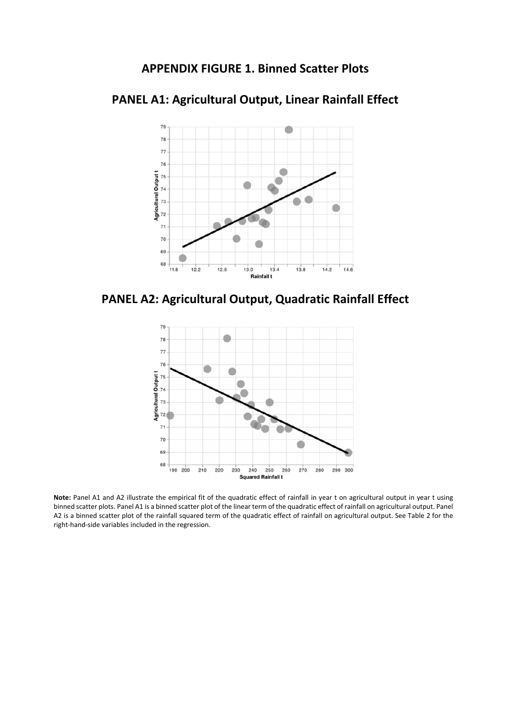## **APPENDIX FIGURE 1. Binned Scatter Plots**



# **PANEL A1: Agricultural Output, Linear Rainfall Effect**





**Note:** Panel A1 and A2 illustrate the empirical fit of the quadratic effect of rainfall in year t on agricultural output in year t using binned scatter plots. Panel A1 is a binned scatter plot of the linear term of the quadratic effect of rainfall on agricultural output. Panel A2 is a binned scatter plot of the rainfall squared term of the quadratic effect of rainfall on agricultural output. See Table 2 for the right‐hand‐side variables included in the regression.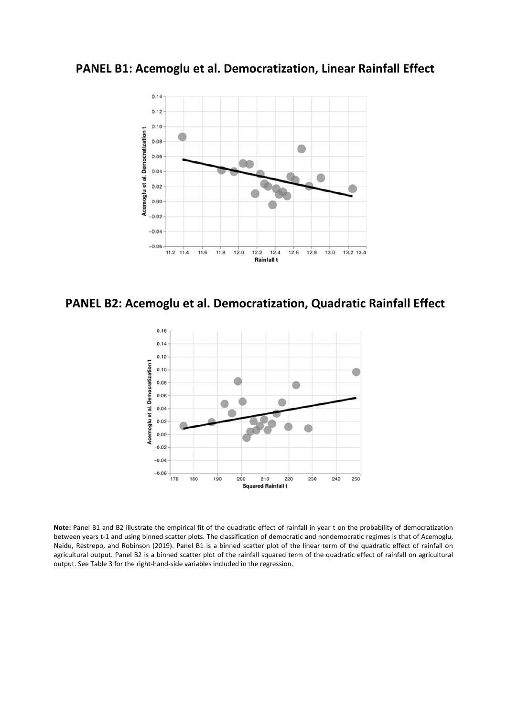**PANEL B1: Acemoglu et al. Democratization, Linear Rainfall Effect**



**PANEL B2: Acemoglu et al. Democratization, Quadratic Rainfall Effect**



**Note:** Panel B1 and B2 illustrate the empirical fit of the quadratic effect of rainfall in year t on the probability of democratization between years t-1 and using binned scatter plots. The classification of democratic and nondemocratic regimes is that of Acemoglu, Naidu, Restrepo, and Robinson (2019). Panel B1 is a binned scatter plot of the linear term of the quadratic effect of rainfall on agricultural output. Panel B2 is a binned scatter plot of the rainfall squared term of the quadratic effect of rainfall on agricultural output. See Table 3 for the right‐hand‐side variables included in the regression.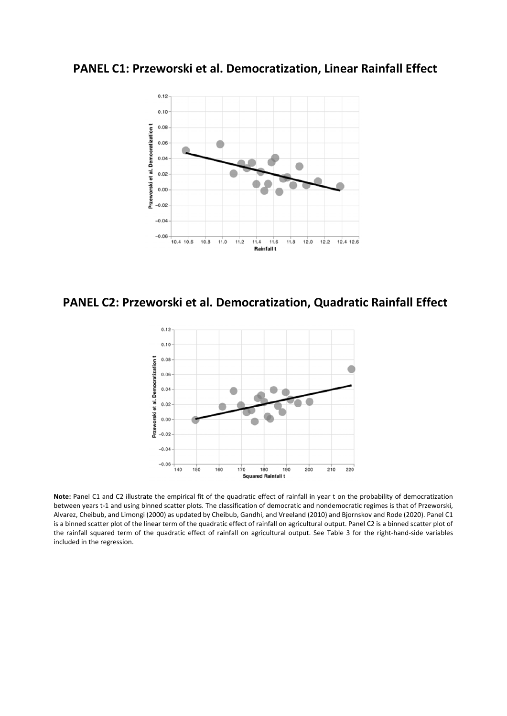**PANEL C1: Przeworski et al. Democratization, Linear Rainfall Effect**



**PANEL C2: Przeworski et al. Democratization, Quadratic Rainfall Effect**



**Note:** Panel C1 and C2 illustrate the empirical fit of the quadratic effect of rainfall in year t on the probability of democratization between years t‐1 and using binned scatter plots. The classification of democratic and nondemocratic regimes is that of Przeworski, Alvarez, Cheibub, and Limongi (2000) as updated by Cheibub, Gandhi, and Vreeland (2010) and Bjornskov and Rode (2020). Panel C1 is a binned scatter plot of the linear term of the quadratic effect of rainfall on agricultural output. Panel C2 is a binned scatter plot of the rainfall squared term of the quadratic effect of rainfall on agricultural output. See Table 3 for the right-hand-side variables included in the regression.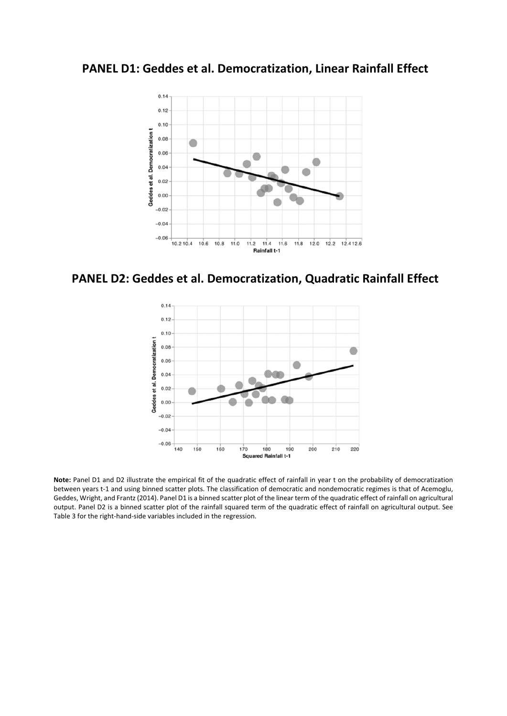**PANEL D1: Geddes et al. Democratization, Linear Rainfall Effect**



**PANEL D2: Geddes et al. Democratization, Quadratic Rainfall Effect**



**Note:** Panel D1 and D2 illustrate the empirical fit of the quadratic effect of rainfall in year t on the probability of democratization between years t-1 and using binned scatter plots. The classification of democratic and nondemocratic regimes is that of Acemoglu, Geddes, Wright, and Frantz (2014). Panel D1 is a binned scatter plot of the linear term of the quadratic effect of rainfall on agricultural output. Panel D2 is a binned scatter plot of the rainfall squared term of the quadratic effect of rainfall on agricultural output. See Table 3 for the right-hand-side variables included in the regression.